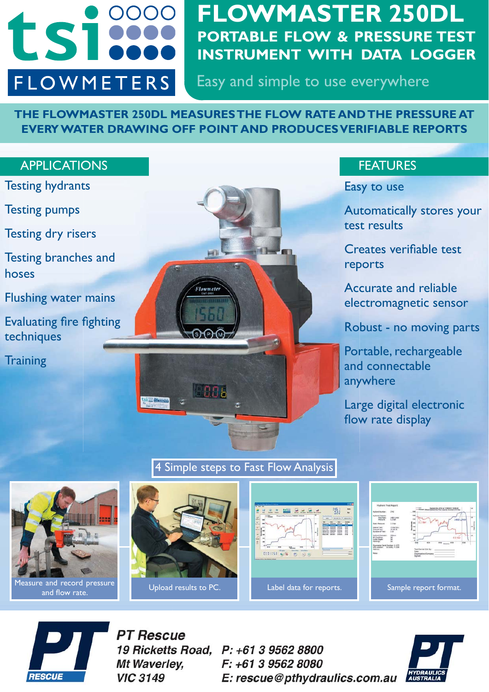

# **FLOWMASTER 250DL PORTABLE FLOW & PRESSURE TEST INSTRUMENT WITH DATA LOGGER**

Easy and simple to use everywhere

**THE FLOWMASTER 250DL MEASURES THE FLOW RATE AND THE PRESSURE AT EVERY WATER DRAWING OFF POINT AND PRODUCES VERIFIABLE REPORTS**

### APPLICATIONS APPLICATIONS

- Testing hydrants
- Testing pumps
- Testing dry risers
- Testing branches and hoses
- Flushing water mains
- Evaluating fire fighting techniques
- **Training**



Easy to use

Automatically stores your test results

Creates verifiable test reports

Accurate and reliable electromagnetic sensor

Robust - no moving parts

Portable, rechargeable and connectable anywhere

Large digital electronic flow rate display



4 Simple steps to Fast Flow Analysis









**PT Rescue 19 Ricketts Road.** Mt Waverley. **VIC 3149** 

P: +61 3 9562 8800 F: +61 3 9562 8080 E: rescue@pthydraulics.com.au